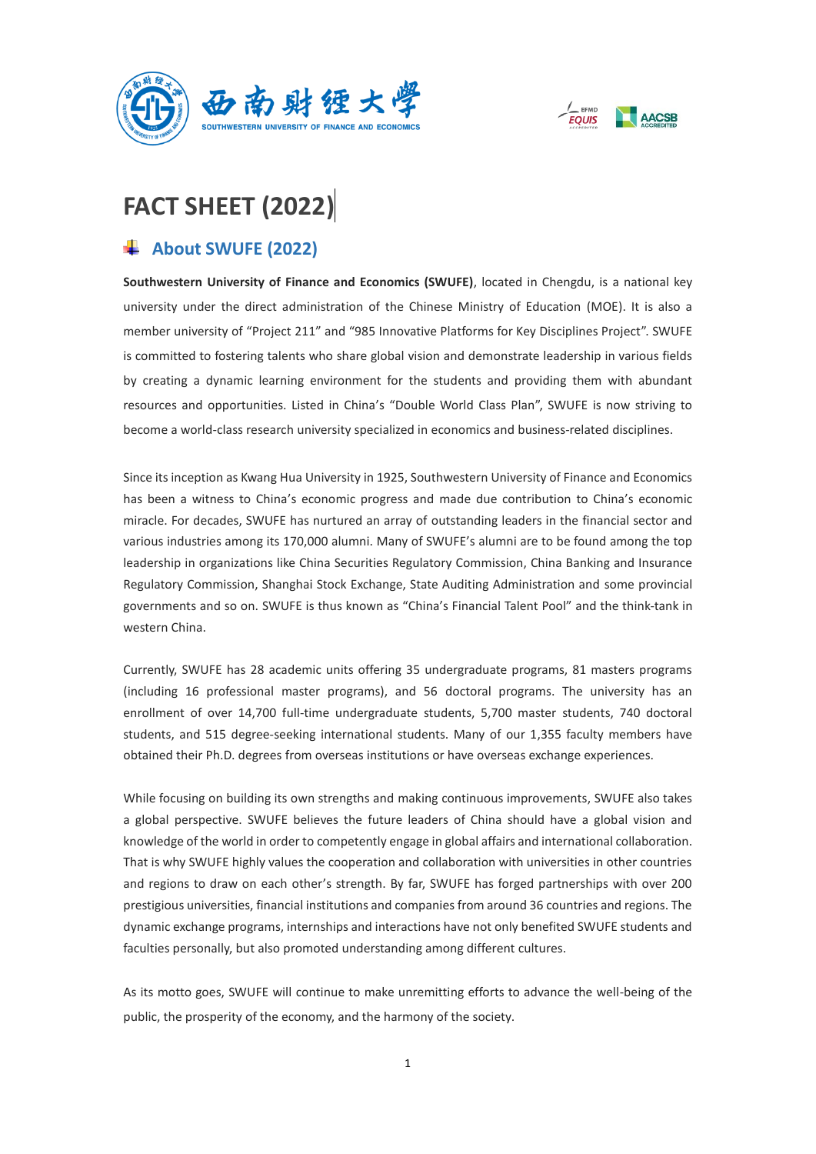



# **FACT SHEET (2022)**

# **About SWUFE (2022)**

**Southwestern University of Finance and Economics (SWUFE)**, located in Chengdu, is a national key university under the direct administration of the Chinese Ministry of Education (MOE). It is also a member university of "Project 211" and "985 Innovative Platforms for Key Disciplines Project". SWUFE is committed to fostering talents who share global vision and demonstrate leadership in various fields by creating a dynamic learning environment for the students and providing them with abundant resources and opportunities. Listed in China's "Double World Class Plan", SWUFE is now striving to become a world-class research university specialized in economics and business-related disciplines.

Since its inception as Kwang Hua University in 1925, Southwestern University of Finance and Economics has been a witness to China's economic progress and made due contribution to China's economic miracle. For decades, SWUFE has nurtured an array of outstanding leaders in the financial sector and various industries among its 170,000 alumni. Many of SWUFE's alumni are to be found among the top leadership in organizations like China Securities Regulatory Commission, China Banking and Insurance Regulatory Commission, Shanghai Stock Exchange, State Auditing Administration and some provincial governments and so on. SWUFE is thus known as "China's Financial Talent Pool" and the think-tank in western China.

Currently, SWUFE has 28 academic units offering 35 undergraduate programs, 81 masters programs (including 16 professional master programs), and 56 doctoral programs. The university has an enrollment of over 14,700 full-time undergraduate students, 5,700 master students, 740 doctoral students, and 515 degree-seeking international students. Many of our 1,355 faculty members have obtained their Ph.D. degrees from overseas institutions or have overseas exchange experiences.

While focusing on building its own strengths and making continuous improvements, SWUFE also takes a global perspective. SWUFE believes the future leaders of China should have a global vision and knowledge of the world in order to competently engage in global affairs and international collaboration. That is why SWUFE highly values the cooperation and collaboration with universities in other countries and regions to draw on each other's strength. By far, SWUFE has forged partnerships with over 200 prestigious universities, financial institutions and companies from around 36 countries and regions. The dynamic exchange programs, internships and interactions have not only benefited SWUFE students and faculties personally, but also promoted understanding among different cultures.

As its motto goes, SWUFE will continue to make unremitting efforts to advance the well-being of the public, the prosperity of the economy, and the harmony of the society.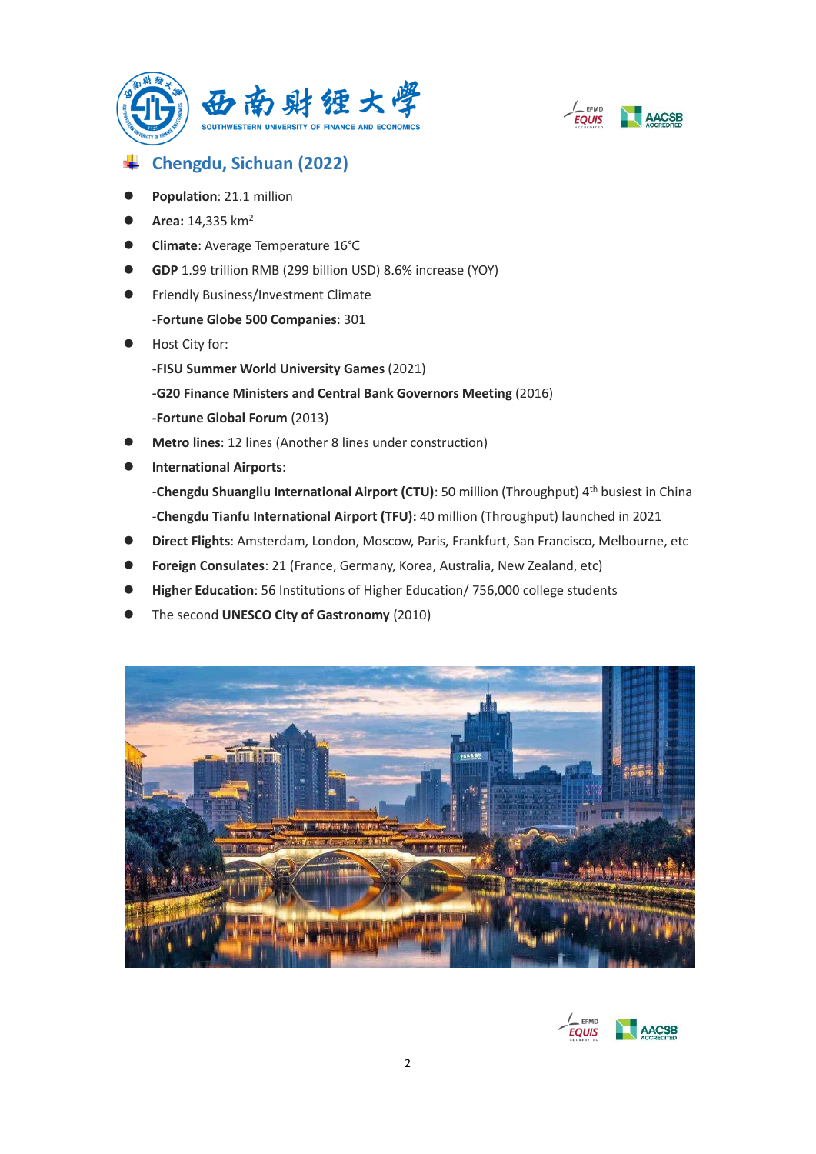



# **Chengdu, Sichuan (2022)**

- ⚫ **Population**: 21.1 million
- **Area:** 14,335 km<sup>2</sup>
- ⚫ **Climate**: Average Temperature 16℃
- ⚫ **GDP** 1.99 trillion RMB (299 billion USD) 8.6% increase (YOY)
- Friendly Business/Investment Climate
	- -**Fortune Globe 500 Companies**: 301
- Host City for:
	- **-FISU Summer World University Games** (2021)
	- **-G20 Finance Ministers and Central Bank Governors Meeting** (2016) **-Fortune Global Forum** (2013)
- ⚫ **Metro lines**: 12 lines (Another 8 lines under construction)
- ⚫ **International Airports**: -Chengdu Shuangliu International Airport (CTU): 50 million (Throughput) 4<sup>th</sup> busiest in China -**Chengdu Tianfu International Airport (TFU):** 40 million (Throughput) launched in 2021
- ⚫ **Direct Flights**: Amsterdam, London, Moscow, Paris, Frankfurt, San Francisco, Melbourne, etc
- ⚫ **Foreign Consulates**: 21 (France, Germany, Korea, Australia, New Zealand, etc)
- ⚫ **Higher Education**: 56 Institutions of Higher Education/ 756,000 college students
- ⚫ The second **UNESCO City of Gastronomy** (2010)



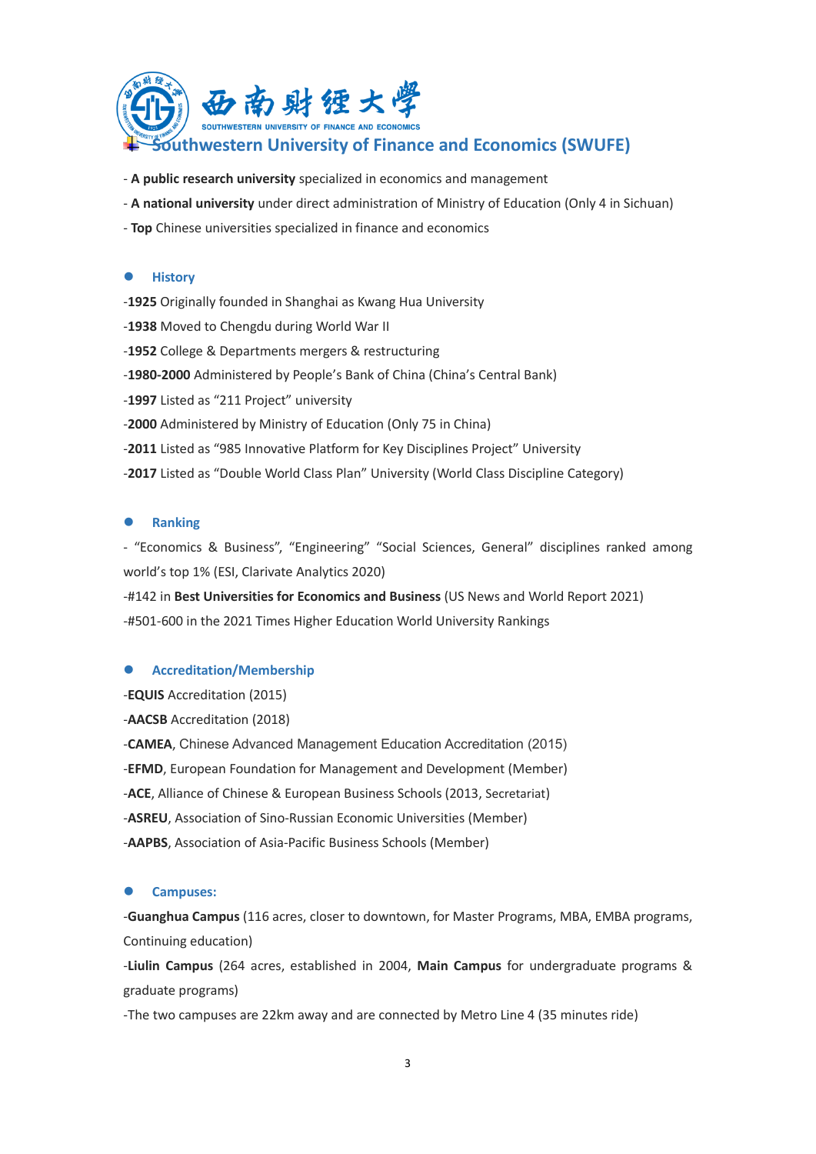

- **A public research university** specialized in economics and management
- **A national university** under direct administration of Ministry of Education (Only 4 in Sichuan)
- **Top** Chinese universities specialized in finance and economics

#### ⚫ **History**

-**1925** Originally founded in Shanghai as Kwang Hua University -**1938** Moved to Chengdu during World War II -**1952** College & Departments mergers & restructuring -**1980-2000** Administered by People's Bank of China (China's Central Bank) -**1997** Listed as "211 Project" university -**2000** Administered by Ministry of Education (Only 75 in China) -**2011** Listed as "985 Innovative Platform for Key Disciplines Project" University -**2017** Listed as "Double World Class Plan" University (World Class Discipline Category)

#### ⚫ **Ranking**

- "Economics & Business", "Engineering" "Social Sciences, General" disciplines ranked among world's top 1% (ESI, Clarivate Analytics 2020)

-#142 in **Best Universities for Economics and Business** (US News and World Report 2021) -#501-600 in the 2021 Times Higher Education World University Rankings

#### ● Accreditation/Membership

-**EQUIS** Accreditation (2015)

-**AACSB** Accreditation (2018)

-**CAMEA**, Chinese Advanced Management Education Accreditation (2015) -**EFMD**, European Foundation for Management and Development (Member) -**ACE**, Alliance of Chinese & European Business Schools (2013, Secretariat) -**ASREU**, Association of Sino-Russian Economic Universities (Member) -**AAPBS**, Association of Asia-Pacific Business Schools (Member)

#### ⚫ **Campuses:**

-**Guanghua Campus** (116 acres, closer to downtown, for Master Programs, MBA, EMBA programs, Continuing education)

-**Liulin Campus** (264 acres, established in 2004, **Main Campus** for undergraduate programs & graduate programs)

-The two campuses are 22km away and are connected by Metro Line 4 (35 minutes ride)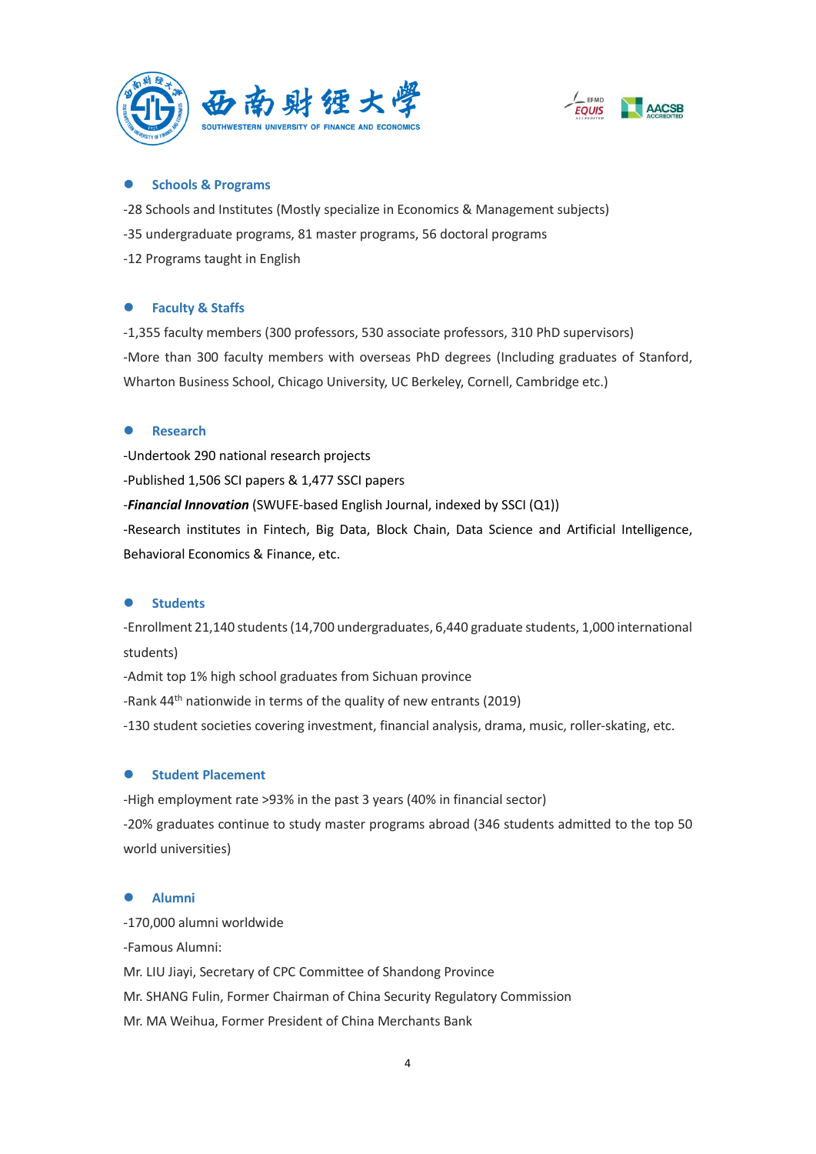



# ⚫ **Schools & Programs**

-28 Schools and Institutes (Mostly specialize in Economics & Management subjects) -35 undergraduate programs, 81 master programs, 56 doctoral programs -12 Programs taught in English

# ⚫ **Faculty & Staffs**

-1,355 faculty members (300 professors, 530 associate professors, 310 PhD supervisors) -More than 300 faculty members with overseas PhD degrees (Including graduates of Stanford, Wharton Business School, Chicago University, UC Berkeley, Cornell, Cambridge etc.)

#### ⚫ **Research**

-Undertook 290 national research projects

-Published 1,506 SCI papers & 1,477 SSCI papers

-*Financial Innovation* (SWUFE-based English Journal, indexed by SSCI (Q1))

-Research institutes in Fintech, Big Data, Block Chain, Data Science and Artificial Intelligence, Behavioral Economics & Finance, etc.

#### ⚫ **Students**

-Enrollment 21,140 students (14,700 undergraduates, 6,440 graduate students, 1,000 international students)

-Admit top 1% high school graduates from Sichuan province

-Rank 44<sup>th</sup> nationwide in terms of the quality of new entrants (2019)

-130 student societies covering investment, financial analysis, drama, music, roller-skating, etc.

# ⚫ **Student Placement**

-High employment rate >93% in the past 3 years (40% in financial sector) -20% graduates continue to study master programs abroad (346 students admitted to the top 50 world universities)

#### ⚫ **Alumni**

-170,000 alumni worldwide -Famous Alumni: Mr. LIU Jiayi, Secretary of CPC Committee of Shandong Province Mr. SHANG Fulin, Former Chairman of China Security Regulatory Commission Mr. MA Weihua, Former President of China Merchants Bank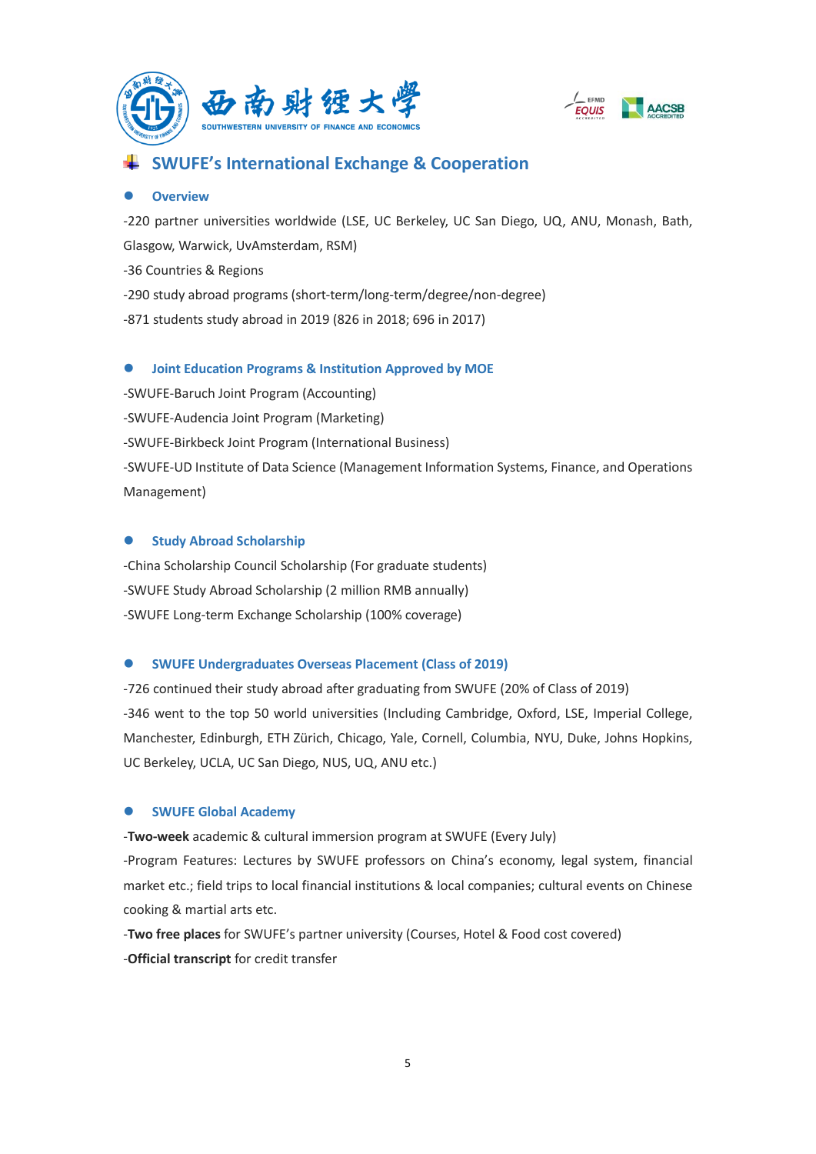



# **SWUFE's International Exchange & Cooperation**

#### ⚫ **Overview**

-220 partner universities worldwide (LSE, UC Berkeley, UC San Diego, UQ, ANU, Monash, Bath, Glasgow, Warwick, UvAmsterdam, RSM) -36 Countries & Regions -290 study abroad programs (short-term/long-term/degree/non-degree) -871 students study abroad in 2019 (826 in 2018; 696 in 2017)

# ⚫ **Joint Education Programs & Institution Approved by MOE**

-SWUFE-Baruch Joint Program (Accounting) -SWUFE-Audencia Joint Program (Marketing) -SWUFE-Birkbeck Joint Program (International Business) -SWUFE-UD Institute of Data Science (Management Information Systems, Finance, and Operations Management)

# ⚫ **Study Abroad Scholarship**

-China Scholarship Council Scholarship (For graduate students) -SWUFE Study Abroad Scholarship (2 million RMB annually) -SWUFE Long-term Exchange Scholarship (100% coverage)

# ⚫ **SWUFE Undergraduates Overseas Placement (Class of 2019)**

-726 continued their study abroad after graduating from SWUFE (20% of Class of 2019) -346 went to the top 50 world universities (Including Cambridge, Oxford, LSE, Imperial College, Manchester, Edinburgh, ETH Zürich, Chicago, Yale, Cornell, Columbia, NYU, Duke, Johns Hopkins, UC Berkeley, UCLA, UC San Diego, NUS, UQ, ANU etc.)

# ⚫ **SWUFE Global Academy**

-**Two-week** academic & cultural immersion program at SWUFE (Every July)

-Program Features: Lectures by SWUFE professors on China's economy, legal system, financial market etc.; field trips to local financial institutions & local companies; cultural events on Chinese cooking & martial arts etc.

-**Two free places** for SWUFE's partner university (Courses, Hotel & Food cost covered) -**Official transcript** for credit transfer